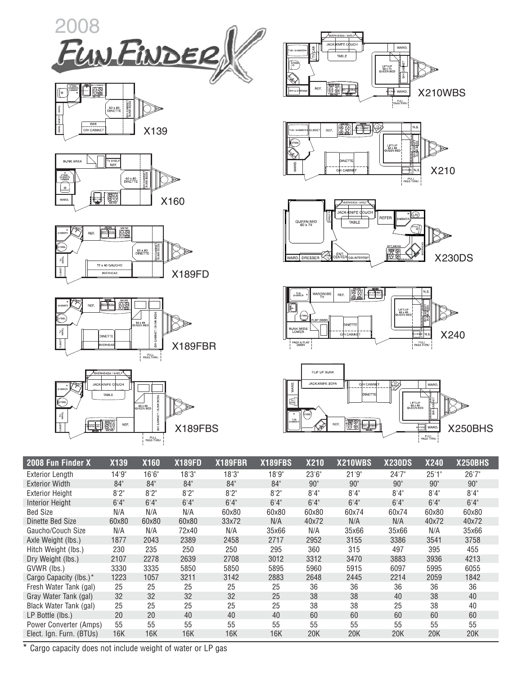





















| 2008 Fun Finder X        | <b>X139</b> | <b>X160</b> | <b>X189FD</b> | <b>X189FBR</b> | <b>X189FBS</b> | <b>X210</b> | <b>X210WBS</b> | <b>X230DS</b> | <b>X240</b> | <b>X250BHS</b> |
|--------------------------|-------------|-------------|---------------|----------------|----------------|-------------|----------------|---------------|-------------|----------------|
| <b>Exterior Length</b>   | 14'9''      | 16'6''      | 18'3''        | 18'3''         | 18'9"          | 23'6"       | 21'9''         | 24'7''        | 25'1"       | 26'7"          |
| <b>Exterior Width</b>    | 84"         | 84"         | 84"           | 84"            | 84"            | 90"         | 90"            | 90"           | 90"         | 90"            |
| <b>Exterior Height</b>   | 8'2''       | 8'2''       | 8'2''         | 8'2''          | 8'2''          | 8'4''       | 8'4''          | 8'4''         | 8'4''       | 8'4''          |
| <b>Interior Height</b>   | 6'4''       | 6'4''       | 6'4''         | 6'4''          | 6'4''          | 6'4''       | 6'4''          | 6'4''         | 6'4''       | 6'4''          |
| <b>Bed Size</b>          | N/A         | N/A         | N/A           | 60x80          | 60x80          | 60x80       | 60x74          | 60x74         | 60x80       | 60x80          |
| Dinette Bed Size         | 60x80       | 60x80       | 60x80         | 33x72          | N/A            | 40x72       | N/A            | N/A           | 40x72       | 40x72          |
| Gaucho/Couch Size        | N/A         | N/A         | 72x40         | N/A            | 35x66          | N/A         | 35x66          | 35x66         | N/A         | 35x66          |
| Axle Weight (lbs.)       | 1877        | 2043        | 2389          | 2458           | 2717           | 2952        | 3155           | 3386          | 3541        | 3758           |
| Hitch Weight (lbs.)      | 230         | 235         | 250           | 250            | 295            | 360         | 315            | 497           | 395         | 455            |
| Dry Weight (lbs.)        | 2107        | 2278        | 2639          | 2708           | 3012           | 3312        | 3470           | 3883          | 3936        | 4213           |
| GVWR (lbs.)              | 3330        | 3335        | 5850          | 5850           | 5895           | 5960        | 5915           | 6097          | 5995        | 6055           |
| Cargo Capacity (lbs.)*   | 1223        | 1057        | 3211          | 3142           | 2883           | 2648        | 2445           | 2214          | 2059        | 1842           |
| Fresh Water Tank (gal)   | 25          | 25          | 25            | 25             | 25             | 36          | 36             | 36            | 36          | 36             |
| Gray Water Tank (gal)    | 32          | 32          | 32            | 32             | 25             | 38          | 38             | 40            | 38          | 40             |
| Black Water Tank (gal)   | 25          | 25          | 25            | 25             | 25             | 38          | 38             | 25            | 38          | 40             |
| LP Bottle (lbs.)         | 20          | 20          | 40            | 40             | 40             | 60          | 60             | 60            | 60          | 60             |
| Power Converter (Amps)   | 55          | 55          | 55            | 55             | 55             | 55          | 55             | 55            | 55          | 55             |
| Elect. Ign. Furn. (BTUs) | 16K         | 16K         | 16K           | 16K            | 16K            | 20K         | 20K            | 20K           | 20K         | 20K            |

\* Cargo capacity does not include weight of water or LP gas